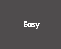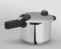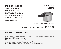# **TABLE OF CONTENTS**

**0. IMPORTANT PRECAUTIONS 1. PRODUCT DESCRIPTION** PAGO2 **2. PRIOR TO FIRST USE** PAG04 **3. USING THE PRESSURE COOKER PAG05 4. UPKEEP AND MAINTENANCE** PAG10 **5. WARRANTY CERTIFICATE** PAG14 **6. DECLARATION OF COMPLIANCE** PAG14

**7. COOKING TIMES** PAG15





Recommended maximum power 3000W



## **IMPORTANT PRECAUTIONS**

**1.** Read the present instructions carefully to the end so as to become familiar with the characteristics and potential of the pressure cooker.

**2.** Take great care when using it near children.

**3.** Do not place the pressure cooker in a heated oven.

**4.** When the pressure cooker is under pressure, handle it very carefully. Do not touch warm surfaces. Use the handles and, if necessary, use gloves or another mean of protection.

**5.** Do not use the pressure cooker for any purpose other than that for which it is intended.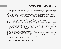#### **IMPORTANT PRECAUTIONS** PAG01

**6.** The pressure cooker works under pressure. Misuse may cause burns and serious damages. Check that the pressure cooker has been properly closed and the valves are clear before placing it on the heat source. Read the chapter "Using the pressure cooker".

**7.** Never force the opening of the pressure cooker or remove the lid without first checking that the pressure cooker is depressurised. See the instructions on depressurisation in point 3.3 of the present manual.

**8.** Do not use the pressure cooker without liquid inside, as it could be seriously damaged. Read the chapter "Prior to First Use".

**9.** Do not fill the pressure cooker more than 2/3 of its capacity. With food which increases in volume during cooking, such as rice or dry vegetables, do not fill the pressure cooker more than half of its capacity.

**10.** Do not place an empty pressure cooker on a connected source of heat.

**11.** When you use an electrical or vitroceramic griddle, use a disk with a diameter which is equal to or lower than the diameter of the bottom (Bd) of the pressure cooker. Make sure the bottom of the cooker is clean and dry.

**12.** When you use a gas stove, adjust the flame so it doesn't go above the diameter of the bottom.

**13.** The superficial skin of some meats swells under the effect of pressure (e.g. tongue). After cooking, do not prick the meat if it looks swollen; you may scald yourself. Prick the meat before cooking.

**14.** When making greasy foods, you should shake the pressure cooker slightly before opening the lid, preventing the food from spitting out.

**15.** Do not use the pressure cooker under pressure for frying food.

**16.** Do not operate the safety systems more than that which is recommended in the cleaning and maintenance instructions. Read the chapter "Upkeep and maintenance".

**17.** Do not use the pressure cooker when it, or any of its components, is damaged or does not correspond to the functions described in the usage instructions. Only use replacement parts of the Silampos brand and of the model in question. Contact the Silampos Post Sales Assistance Service.

#### **18.** FOLLOW AND KEEP THESE INSTRUCTIONS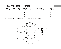#### PAG02 **PRODUCT DESCRIPTION**

| Capacity<br>(Liters) | Interior Diam. of Diameter of<br>pressure cooker (cm) bottom (cm) |      | Type    | Oper. pressure (bar)*<br>Level $1 \mid$ Level 2 |     | Safety<br>pressure (bar) <sup>*</sup> |  |
|----------------------|-------------------------------------------------------------------|------|---------|-------------------------------------------------|-----|---------------------------------------|--|
| 4                    |                                                                   | 19.6 | Bayonet | 0.5                                             | 0.9 | 1.9                                   |  |
| b                    |                                                                   | 19.6 | Bayonet | 0.5                                             | 0.9 | 1.9                                   |  |
| 7,5                  |                                                                   | 19.6 | Bayonet | 0.5                                             | 0.9 | 1.9                                   |  |

**\* Pressure unit: 1 bar = 1kg/1cm2** (a force of 1kg is exercised over an area of 1cm2)

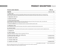## **PRODUCT DESCRIPTION** PAG03

| Pressure cooker diameter                                                                                                                                                                                                                             | 022 cm                                |  |
|------------------------------------------------------------------------------------------------------------------------------------------------------------------------------------------------------------------------------------------------------|---------------------------------------|--|
| Capacity                                                                                                                                                                                                                                             | $4L - 6L - 7,5L$                      |  |
| 1. Safety valve<br>Safety device which opens and closes automatically, releasing any excess pressure inside the pressure cooker. It is connected to the<br>pressure indicator and block the closing/opening button to prevent the opening of the pre |                                       |  |
| 2. Adiustment valve nut                                                                                                                                                                                                                              |                                       |  |
| 3. Bakelite lid handle                                                                                                                                                                                                                               |                                       |  |
| 4. Closing/openining button<br>After placing the lid, the linear movement of this button allows the opening and closing of the pressure cooker. It only allows the<br>pressure cooker to open when it no longer has any pressure inside.             |                                       |  |
| 5. Pressure indicator Device indicating the presence of pressure inside the pressure cooker.                                                                                                                                                         |                                       |  |
| 6. Adjustment valve<br>Device stabilising the pressure inside the pressure cooker when in operation by selecting the desired pressure level.                                                                                                         |                                       |  |
| 6a. Selector button<br>Allows the pressure level to be selected and the pressure cooker to be depressurised. It may be removed to clean the adjustment valve.                                                                                        |                                       |  |
| 7. Complete lid                                                                                                                                                                                                                                      |                                       |  |
| 8. Safety window<br>Safety device allowing the release of steam via expansion of the ring.                                                                                                                                                           |                                       |  |
| 9. Silicone pressure cooker rem sealing ring<br>Allows the pressure cooker to be sealed.                                                                                                                                                             | * 644000019903                        |  |
| 10. Bakelite side handle                                                                                                                                                                                                                             | * 644000019902                        |  |
| 11. Pressure cooker unit                                                                                                                                                                                                                             |                                       |  |
| 12. Bakelite unit handle                                                                                                                                                                                                                             | * 644000019901                        |  |
| - Not available on the market                                                                                                                                                                                                                        | <sup>e</sup> Code for separated parts |  |

Only use replacement parts of the SILAMPOS brand and of the model in question. Contact the Silampos Post Sales Assistance Service.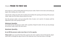#### PAG04 **PRIOR TO FIRST USE**

Prior to first use, remove all the labels from the pressure cooker. Wash it in hot water and washing-up liquid. After washing, dry it with a cloth.

Lubricate the sealing ring with a bit of cooking oil to facilitate the opening and closing of the pressure cooker. Make sure the steam release devices are clear.

Give the pressure cooker a test run using half a litre of water. Let it cook for 10 minutes until the adjustment valve starts giving off steam.

#### Minimum Quantity:

You should not use the pressure cooker with a quantity of liquid of under 250 ml; you may damage the pressure cooker and/or the heat source.

#### Maximum Quantity:

#### **Do not fill the pressure cooker more than 2/3 of its capacity.**

**Please note** if you exceed the limit of the capacity, the steam could be released through the adjustment valve or through the edge of the lid. This could also occur if the heat source is too high.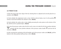# **USING THE PRESSURE COOKER** PAG05

#### **3.1** PRIOR TO USE

**1.** Place the ring on the inner edge of the lid, checking that it is adjusted and correctly placed in accordance with (**FIG.01**)

**2.** Check whether the adjustment valve is clear: Pull the selector button, turn it to the position  $\Phi$ , remove it and check whether the channel is clear. (**FIG.02**)

**3.** Check whether the safety valve is clear, lightly pressuring the valve piston via the interior of the lid, with the aid of a pointed object. (**FIG.03**)

**4.** To close the pressure cooker, place the lid in such a way as to make the lid close position indicator  $\Leftrightarrow$  coincide with the close position indicator of the pressure cooker handle  $\triangleleft$  and turn the lid clockwise. (**FIG.04**)

**5.** After ensuring the overlaying of the lid handles and of the pressure cooker unit (**FIG.05**), pull the button to the close position until you hear a click. (**FIG.06**)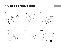## PAG06 **USING THE PRESSURE COOKER**

















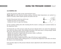# **USING THE PRESSURE COOKER PAG07**

#### **3.2** DURING USE

**1.** Place the pressure cooker on the connected heat source.

**Please note** that with induction-heating cooking, extremely high temperatures are reached in a matter of seconds, which requires greater precaution and care.

**2.** Select the pressure level you wish to use:

- Position (0.5 bar): for fast cooking;

- Position (0.9 bar): for super fast cooking.



**3.** Start counting cooking time after checking that the steam is coming out in constant fashion via the adjustment valve.

**4.** If during the use of the pressure cooker the pressure indicator fails to rise and/or the adjustment valve does not release steam, check whether the power of the heat source is strong enough. Should this persist, depressurise the pressure cooker and check:

- Whether the quantity of liquid inside the pressure cooker is sufficient;

- Whether the pressure cooker is closed;

- Whether the adjustment valve is clear;

- Whether the silicone sealing ring and the edge of the lid are in good conditions.

During the first minutes of the cooking process, it is normal if the adjustment valve does not release the steam or do it intermittently.

**5.** Do not place objects on the pressure indicator and/or adjustment valve whilst the pressure cooker is working.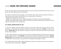#### PAG08 **USING THE PRESSURE COOKER**

**6.** Use the heat stored in the thermal bottom and save energy by disconnecting the heat source before the food cooking time has terminated.

**7.** If steam is released via the lid edges, via the safety valve and/or via the expansion window, remove the pressure cooker from the heat source, depressurise it and check:

- Whether the adjustment valve is clear;
- Whether the sealing ring is clean, properly positioned and shows any sign of deterioration;

- Whether the edge of the pressure cooker unit shows any signs of deterioration which prevent the effective adjustment of the sealing ring.

#### **3.3** UPON COMPLETION OF USE

**1.** Once the cooking time has elapsed, remove the pressure cooker from the heat source and depressurise it, slowly turning the selector button to the position indicated in (**FIG.07**), to release the steam. **Please note** that you should be extremely careful to avoid any burns which may be caused by the steam released.

**2.** After depressurisation, open the pressure cooker moving the button from the close to the open position until you hear a click (**FIG.08**); remove the lid, turning the handle anti-clockwise. (**FIG.09**). **Please note** that you should not force the opening of the pressure cooker until the pressure indicator is totally down, as this practice can put the user in danger and damage the cooker.

**3.** To handle the pressure cooker only use Bakelite accessories and, where necessary, wear gloves or some other means of protection. (**FIG.10**).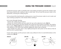## **USING THE PRESSURE COOKER PAG09**

**4.** Wash the pressure cooker in plentiful water and washing-up liquid to prevent the stainless steel from being eroded by the cooking of salty or acidic foods. You can wash the pressure cooker in the dishwasher, removing the sealing ring first.

**5.** If you burned the food during the cooking process: Leave the pressure cooker to rest in water and some washing-up liquid for a few minutes before washing it.

**6.** For more thorough cleaning:

- Remove the sealing ring and wash it.
- Remove the selector button and rinse under the tap via the adjustment valve (**FIG.11**).

Reset the selector button and check whether the system has been properly assembled. This shall be easy to move. **Please note** that an improper assembly may make the operation of the adjustment valve difficult or even stop it from working, obliging the safety valve to operate.

- Check whether the safety valve is clear, lightly pressing the valve piston via the interior of the lid with the aid of a pointed object.

**7.** Once clean and dry, put the pressure cooker away without its lid on to avoid deformations to the sealing ring. (**FIG.12**)

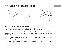## PAG10 **USING THE PRESSURE COOKER**



### **UPKEEP AND MAINTENANCE**

#### Keep your pressure cooker in good working order for longer:

- Don't heat the pressure cooker when it's empty. If you left the pressure cooker on the heat source without any liquid inside, take the pressure cooker to the Silampos post-sales assistance service to be checked.

- The salty cooking water and the water with washing-up liquid shall not remain in the pressure cooker for long time periods.

- After 10 years it is recommended you carry out a general revision of the pressure cooker at the Silampos post-sales assistance service.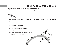# **UPKEEP AND MAINTENANCE** PAG11

#### **- Replace the sealing ring every year or at least every two years.**

It will need to be replaced early whenever the following occur:

- Cracks or dents
- Deformations;
- Dark appearance;
- Lack of flexibility.

Any of the aforementioned irregularities may prevent the correct sealing or closure of the pressure cooker.

#### To place a new sealing ring:

- Select a Silampos sealing ring identified in the table (pag.03)

- Place the ring on the inner edge of the lid, checking that it is adjusted and properly placed.

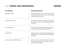# PAG12 **UPKEEP AND MAINTENANCE**

| <b>OCCURRENCE</b>                 | <b>RECOMMENDATION</b>                                                                                                            |
|-----------------------------------|----------------------------------------------------------------------------------------------------------------------------------|
| Removal of labels                 | Wetten the label in very hot water and remove<br>it. If traces of glue remain, soak a bit of cotton<br>wool in alcohol and wipe. |
| Use of abrasive pads              | This type of wire mesh scratches the surface of<br>the pressure cooker. Rub horizontally and not<br>vertically.                  |
| Use of detergents                 | Do not use disinfectants containing bleach or<br>other detergents containing chlorine (Cl).                                      |
| <b>Burned food</b>                | Add some water and ammoniac detergent and<br>leave to rest for a few minutes. Wash the piece<br>normally.                        |
| Limescale stains (whitish stains) | Add a bit of vinegar and water and heat the<br>pressure cooker for a few minutes. Leave to<br>cool and wash normally.            |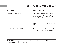## **UPKEEP AND MAINTENANCE** PAG13

| <b>OCCURRENCE</b>                    | <b>RECOMMENDATION</b>                                                                                                                                                                       |
|--------------------------------------|---------------------------------------------------------------------------------------------------------------------------------------------------------------------------------------------|
| Rust stains (brownish stains)        | Do not use steel wire pads when cleaning stain-<br>less steel parts. This type of pad may leave rust<br>stains, permanently damaging the surface of<br>the piece. Use stainless steel pads. |
| Food stains                          | Add some bicarbonate of soda and water and<br>heat the piece for a few minutes. Leave to cool<br>and wash.                                                                                  |
| Excess heat stains (coloured stains) | Clean the piece with a 10% nitric acid diluted<br>solution, or use brighteners for chrome items.                                                                                            |

The **SILAMPOS** cleaning product is recommended and effective at removing stains and residues, making your pressure cooker shine again.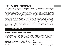# PAG14 **WARRANTY CERTIFICATE**

The Silampos Easy pressure cooker has a 2-year warranty and a specific 25-year warranty for its Impact Disc Plus thermal bottom, against manufacturing defects. The consumer should inform the seller if there is any lack of compliance within 2 months starting from the day it was detected in order to benefit from the warranty. The warranty period starts from the date of the product delivery and does not cover the parts subject to periodic replacement, as classified in the instructions attached, and any damage caused by negligent use, improper use or accident. When the product does not comply with the contract, the consumer has the right to require it for free. The warranty shall be null and void when unauthorised entities have repaired, modified or replaced pressure cooker parts. The expression "for free", used previously, is related to the needed expenditures to establish the compliance of the product with the contract, including namely transport, working force and material expenditures. Those expenditures and the risks related to the postage of the pressure cooker to Silampos Customer Services and its subsequent devolution to the client are Silampos responsibility only when the warranty duty is fulfilled. Any expenses relating to the maintenance or restoration of the product apart from the appliance of the warranty shall be borne by the consumer. The warranty is free and occurs automatically when purchasing the Easy pressure cooker. The rights and duties of both involved parts are stipulated in the decree-law n° 67/2003, modified by the decree-law n° 84/2008, to which it is related to.

CONTACT FOR ASSISTANCES - Silampos, Sociedade Industrial de Louça Metálica Campos, S.A. Rua das Cortinhas, nº.301 | 3701-906 Cesar PORTUGAL | Tel.: 351.256850400 | servicoaoconsumidor@silampos.pt

## **DECLARATION OF COMPLIANCE**

To all intents and purposes, we do hereby declare that the pressure cookers manufactured by Silampos comply with the provisions of EEC Directive no.97/23 and the applicable standards, to wit EN 12778. As well as with EEC Regulation no.1935/2004, ensuring that all the food compatibility requirements have been complied with.

**Manufacturer** SILAMPOS - Sociedade Ind. de Louça Metálica Campos, S.A. - P.O. Box 2004 - Cesar PORTUGAL **Evaluation of Compliance** Module B "Exam CE de Tipo" **Body Notified** CATIM - Centro de Apoio Tecnológico à Indústria Metalomecânica nº.0464

**April 2008 Signature** Engº. Anibal Campos

 $+u^{\prime}$